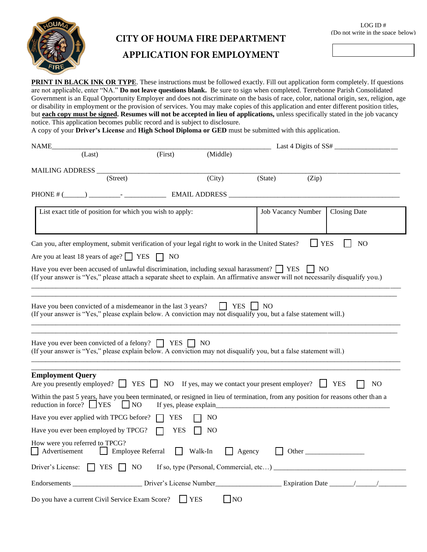

## **CITY OF HOUMA FIRE DEPARTMENT**

### **APPLICATION FOR EMPLOYMENT**

**PRINT IN BLACK INK OR TYPE**. These instructions must be followed exactly. Fill out application form completely. If questions are not applicable, enter "NA." **Do not leave questions blank.** Be sure to sign when completed. Terrebonne Parish Consolidated Government is an Equal Opportunity Employer and does not discriminate on the basis of race, color, national origin, sex, religion, age or disability in employment or the provision of services. You may make copies of this application and enter different position titles, but **each copy must be signed. Resumes will not be accepted in lieu of applications,** unless specifically stated in the job vacancy notice. This application becomes public record and is subject to disclosure.

A copy of your **Driver's License** and **High School Diploma or GED** must be submitted with this application.

| NAME                                                                                                                                                                                                                                 |                                |                                                                  |                    | Last 4 Digits of $SS#$ |                     |
|--------------------------------------------------------------------------------------------------------------------------------------------------------------------------------------------------------------------------------------|--------------------------------|------------------------------------------------------------------|--------------------|------------------------|---------------------|
| (Last)                                                                                                                                                                                                                               | (First)                        | (Middle)                                                         |                    |                        |                     |
| MAILING ADDRESS                                                                                                                                                                                                                      |                                |                                                                  |                    |                        |                     |
| (Street)                                                                                                                                                                                                                             |                                | (City)                                                           | (State)            | (Zip)                  |                     |
|                                                                                                                                                                                                                                      |                                |                                                                  |                    |                        |                     |
| List exact title of position for which you wish to apply:                                                                                                                                                                            |                                |                                                                  | Job Vacancy Number |                        | <b>Closing Date</b> |
| Can you, after employment, submit verification of your legal right to work in the United States?                                                                                                                                     |                                |                                                                  |                    | <b>YES</b>             | N <sub>O</sub>      |
| Are you at least 18 years of age? $\Box$ YES                                                                                                                                                                                         | T NO                           |                                                                  |                    |                        |                     |
| Have you ever been accused of unlawful discrimination, including sexual harassment? <b>FILES</b><br>(If your answer is "Yes," please attach a separate sheet to explain. An affirmative answer will not necessarily disqualify you.) |                                |                                                                  |                    | NO                     |                     |
| Have you been convicted of a misdemeanor in the last 3 years?<br>(If your answer is "Yes," please explain below. A conviction may not disqualify you, but a false statement will.)                                                   |                                | <b>YES</b>                                                       | N <sub>O</sub>     |                        |                     |
| Have you ever been convicted of a felony? $\Box$ YES $\Box$ NO<br>(If your answer is "Yes," please explain below. A conviction may not disqualify you, but a false statement will.)                                                  |                                |                                                                  |                    |                        |                     |
| <b>Employment Query</b><br>Are you presently employed? $YES$                                                                                                                                                                         | NO                             | If yes, may we contact your present employer?                    |                    |                        | <b>YES</b><br>NO    |
| Within the past 5 years, have you been terminated, or resigned in lieu of termination, from any position for reasons other than a<br>reduction in force? $\bigcap$ YES                                                               | NO.<br>If yes, please explain_ |                                                                  |                    |                        |                     |
| Have you ever applied with TPCG before?                                                                                                                                                                                              | YES                            | N <sub>O</sub>                                                   |                    |                        |                     |
| Have you ever been employed by TPCG?                                                                                                                                                                                                 | <b>YES</b>                     | N <sub>O</sub>                                                   |                    |                        |                     |
| How were you referred to TPCG?<br>Advertisement                                                                                                                                                                                      | $\Box$ Employee Referral       | Walk-In                                                          | Agency             |                        | Other               |
| Driver's License: $\Box$ YES $\Box$ NO                                                                                                                                                                                               |                                | If so, type (Personal, Commercial, etc) $\overline{\phantom{a}}$ |                    |                        |                     |
| Endorsements ______________________ Driver's License Number                                                                                                                                                                          |                                |                                                                  |                    | <b>Expiration Date</b> |                     |
| Do you have a current Civil Service Exam Score?                                                                                                                                                                                      |                                | $\neg$ NO<br><b>YES</b>                                          |                    |                        |                     |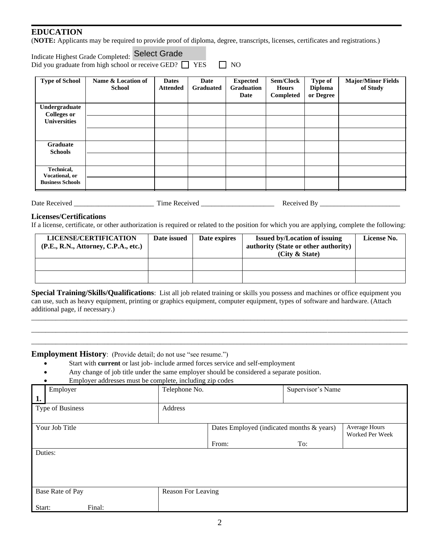#### **EDUCATION**

(**NOTE:** Applicants may be required to provide proof of diploma, degree, transcripts, licenses, certificates and registrations.)

| Indicate Highest Grade Completed: Select Grade               |           |
|--------------------------------------------------------------|-----------|
| Did you graduate from high school or receive GED? $\Box$ YES | $\Box$ NO |

| <b>Type of School</b>               | Name & Location of<br><b>School</b> | <b>Dates</b><br><b>Attended</b> | Date<br><b>Graduated</b> | <b>Expected</b><br><b>Graduation</b><br>Date | Sem/Clock<br><b>Hours</b><br>Completed | Type of<br><b>Diploma</b><br>or Degree | <b>Major/Minor Fields</b><br>of Study |
|-------------------------------------|-------------------------------------|---------------------------------|--------------------------|----------------------------------------------|----------------------------------------|----------------------------------------|---------------------------------------|
| Undergraduate<br><b>Colleges or</b> |                                     |                                 |                          |                                              |                                        |                                        |                                       |
| <b>Universities</b>                 |                                     |                                 |                          |                                              |                                        |                                        |                                       |
|                                     |                                     |                                 |                          |                                              |                                        |                                        |                                       |
| <b>Graduate</b><br><b>Schools</b>   |                                     |                                 |                          |                                              |                                        |                                        |                                       |
|                                     |                                     |                                 |                          |                                              |                                        |                                        |                                       |
| Technical,<br>Vocational, or        |                                     |                                 |                          |                                              |                                        |                                        |                                       |
| <b>Business Schools</b>             |                                     |                                 |                          |                                              |                                        |                                        |                                       |

| Date<br>Received | --<br>ıme<br>. Recc<br>. UW | ، د ،<br>. |
|------------------|-----------------------------|------------|
|------------------|-----------------------------|------------|

#### **Licenses/Certifications**

If a license, certificate, or other authorization is required or related to the position for which you are applying, complete the following:

| LICENSE/CERTIFICATION<br>(P.E., R.N., Attorney, C.P.A., etc.) | Date issued | Date expires | <b>Issued by/Location of issuing</b><br>authority (State or other authority)<br>(City & State) | License No. |
|---------------------------------------------------------------|-------------|--------------|------------------------------------------------------------------------------------------------|-------------|
|                                                               |             |              |                                                                                                |             |
|                                                               |             |              |                                                                                                |             |

**Special Training/Skills/Qualifications**: List all job related training or skills you possess and machines or office equipment you can use, such as heavy equipment, printing or graphics equipment, computer equipment, types of software and hardware. (Attach additional page, if necessary.)

\_\_\_\_\_\_\_\_\_\_\_\_\_\_\_\_\_\_\_\_\_\_\_\_\_\_\_\_\_\_\_\_\_\_\_\_\_\_\_\_\_\_\_\_\_\_\_\_\_\_\_\_\_\_\_\_\_\_\_\_\_\_\_\_\_\_\_\_\_\_\_\_\_\_\_\_\_\_\_\_\_\_\_\_\_\_\_\_\_\_\_\_\_\_\_\_\_\_\_\_\_\_\_\_\_\_\_\_ \_\_\_\_\_\_\_\_\_\_\_\_\_\_\_\_\_\_\_\_\_\_\_\_\_\_\_\_\_\_\_\_\_\_\_\_\_\_\_\_\_\_\_\_\_\_\_\_\_\_\_\_\_\_\_\_\_\_\_\_\_\_\_\_\_\_\_\_\_\_\_\_\_\_\_\_\_\_\_\_\_\_\_\_\_\_\_\_\_\_\_\_\_\_\_\_\_\_\_\_\_\_\_\_\_\_\_\_ \_\_\_\_\_\_\_\_\_\_\_\_\_\_\_\_\_\_\_\_\_\_\_\_\_\_\_\_\_\_\_\_\_\_\_\_\_\_\_\_\_\_\_\_\_\_\_\_\_\_\_\_\_\_\_\_\_\_\_\_\_\_\_\_\_\_\_\_\_\_\_\_\_\_\_\_\_\_\_\_\_\_\_\_\_\_\_\_\_\_\_\_\_\_\_\_\_\_\_\_\_\_\_\_\_\_\_\_

**Employment History**: (Provide detail; do not use "see resume.")

- Start with **current** or last job- include armed forces service and self-employment
- Any change of job title under the same employer should be considered a separate position.

• Employer addresses must be complete, including zip codes

| Employer<br>1.   | Telephone No.      |                                           | Supervisor's Name |                                         |
|------------------|--------------------|-------------------------------------------|-------------------|-----------------------------------------|
| Type of Business | Address            |                                           |                   |                                         |
| Your Job Title   |                    | Dates Employed (indicated months & years) |                   | <b>Average Hours</b><br>Worked Per Week |
|                  |                    | From:                                     | To:               |                                         |
| Duties:          |                    |                                           |                   |                                         |
| Base Rate of Pay | Reason For Leaving |                                           |                   |                                         |
| Start:<br>Final: |                    |                                           |                   |                                         |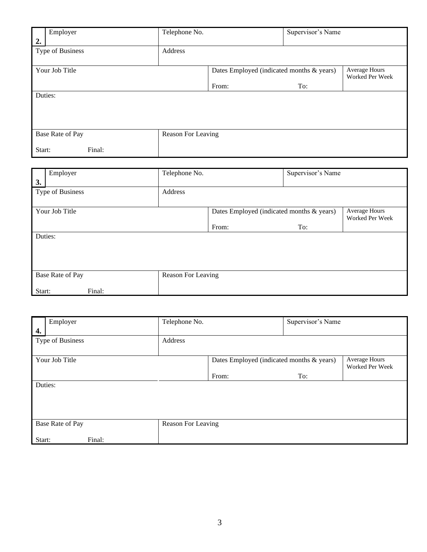|         | Employer         |        | Telephone No.      |                                           | Supervisor's Name |                                  |
|---------|------------------|--------|--------------------|-------------------------------------------|-------------------|----------------------------------|
| 2.      | Type of Business |        | Address            |                                           |                   |                                  |
|         | Your Job Title   |        |                    | Dates Employed (indicated months & years) |                   | Average Hours<br>Worked Per Week |
|         |                  |        |                    | From:                                     | To:               |                                  |
| Duties: |                  |        |                    |                                           |                   |                                  |
|         |                  |        |                    |                                           |                   |                                  |
|         |                  |        |                    |                                           |                   |                                  |
|         |                  |        |                    |                                           |                   |                                  |
|         | Base Rate of Pay |        | Reason For Leaving |                                           |                   |                                  |
| Start:  |                  | Final: |                    |                                           |                   |                                  |

| 3.     | Employer         | Telephone No.      |                                           | Supervisor's Name |                                         |
|--------|------------------|--------------------|-------------------------------------------|-------------------|-----------------------------------------|
|        | Type of Business | Address            |                                           |                   |                                         |
|        | Your Job Title   |                    | Dates Employed (indicated months & years) |                   | <b>Average Hours</b><br>Worked Per Week |
|        |                  |                    | From:                                     | To:               |                                         |
|        | Duties:          |                    |                                           |                   |                                         |
|        | Base Rate of Pay | Reason For Leaving |                                           |                   |                                         |
| Start: | Final:           |                    |                                           |                   |                                         |

| 4.     | Employer         | Telephone No.      |                                           | Supervisor's Name |                                         |
|--------|------------------|--------------------|-------------------------------------------|-------------------|-----------------------------------------|
|        | Type of Business | Address            |                                           |                   |                                         |
|        | Your Job Title   |                    | Dates Employed (indicated months & years) |                   | <b>Average Hours</b><br>Worked Per Week |
|        |                  |                    | From:                                     | To:               |                                         |
|        | Duties:          |                    |                                           |                   |                                         |
|        | Base Rate of Pay | Reason For Leaving |                                           |                   |                                         |
| Start: | Final:           |                    |                                           |                   |                                         |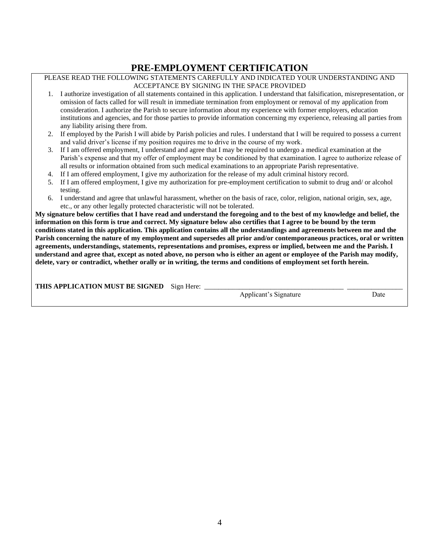### **PRE-EMPLOYMENT CERTIFICATION**

#### PLEASE READ THE FOLLOWING STATEMENTS CAREFULLY AND INDICATED YOUR UNDERSTANDING AND ACCEPTANCE BY SIGNING IN THE SPACE PROVIDED

- 1. I authorize investigation of all statements contained in this application. I understand that falsification, misrepresentation, or omission of facts called for will result in immediate termination from employment or removal of my application from consideration. I authorize the Parish to secure information about my experience with former employers, education institutions and agencies, and for those parties to provide information concerning my experience, releasing all parties from any liability arising there from.
- 2. If employed by the Parish I will abide by Parish policies and rules. I understand that I will be required to possess a current and valid driver's license if my position requires me to drive in the course of my work.
- 3. If I am offered employment, I understand and agree that I may be required to undergo a medical examination at the Parish's expense and that my offer of employment may be conditioned by that examination. I agree to authorize release of all results or information obtained from such medical examinations to an appropriate Parish representative.
- 4. If I am offered employment, I give my authorization for the release of my adult criminal history record.
- 5. If I am offered employment, I give my authorization for pre-employment certification to submit to drug and/ or alcohol testing.
- 6. I understand and agree that unlawful harassment, whether on the basis of race, color, religion, national origin, sex, age, etc., or any other legally protected characteristic will not be tolerated.

**My signature below certifies that I have read and understand the foregoing and to the best of my knowledge and belief, the information on this form is true and correct. My signature below also certifies that I agree to be bound by the term conditions stated in this application. This application contains all the understandings and agreements between me and the Parish concerning the nature of my employment and supersedes all prior and/or contemporaneous practices, oral or written agreements, understandings, statements, representations and promises, express or implied, between me and the Parish. I understand and agree that, except as noted above, no person who is either an agent or employee of the Parish may modify, delete, vary or contradict, whether orally or in writing, the terms and conditions of employment set forth herein.**

| THIS APPLICATION MUST BE SIGNED | Sion<br><b>Here</b> |                            |      |
|---------------------------------|---------------------|----------------------------|------|
|                                 |                     | Annlicant'<br>´s Sionafure | Date |